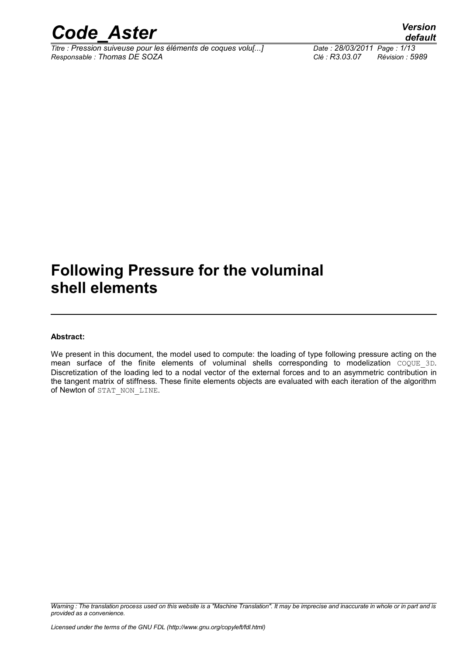

*Titre : Pression suiveuse pour les éléments de coques volu[...] Date : 28/03/2011 Page : 1/13 Responsable : Thomas DE SOZA Clé : R3.03.07 Révision : 5989*

### **Following Pressure for the voluminal shell elements**

#### **Abstract:**

We present in this document, the model used to compute: the loading of type following pressure acting on the mean surface of the finite elements of voluminal shells corresponding to modelization COQUE\_3D. Discretization of the loading led to a nodal vector of the external forces and to an asymmetric contribution in the tangent matrix of stiffness. These finite elements objects are evaluated with each iteration of the algorithm of Newton of STAT\_NON\_LINE.

*Warning : The translation process used on this website is a "Machine Translation". It may be imprecise and inaccurate in whole or in part and is provided as a convenience.*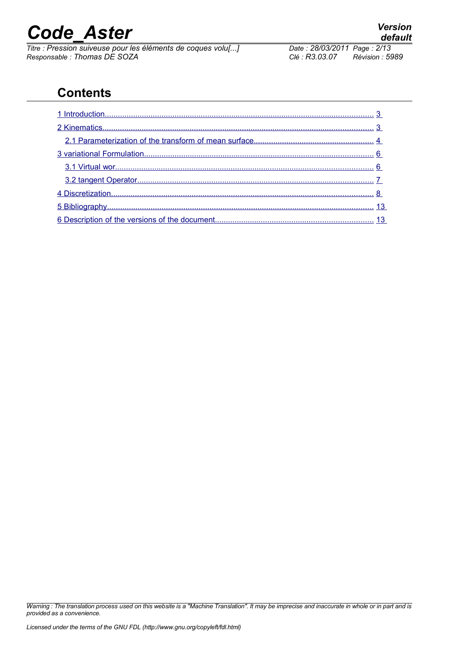*Titre : Pression suiveuse pour les éléments de coques volu[...] Date : 28/03/2011 Page : 2/13 Responsable : Thomas DE SOZA Clé : R3.03.07 Révision : 5989*

### **Contents**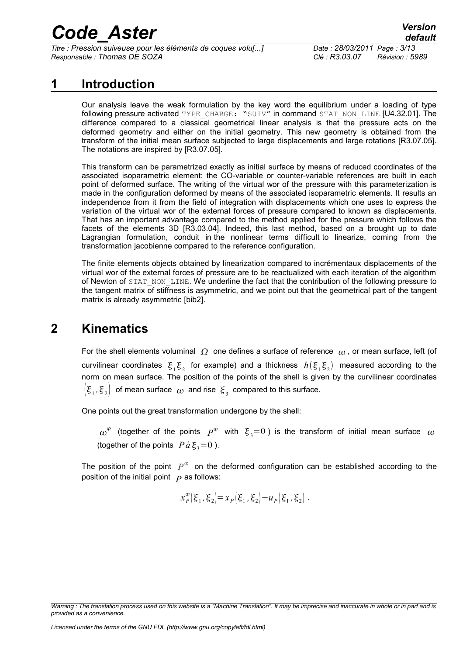*Titre : Pression suiveuse pour les éléments de coques volu[...] Date : 28/03/2011 Page : 3/13 Responsable : Thomas DE SOZA Clé : R3.03.07 Révision : 5989*

#### **1 Introduction**

<span id="page-2-0"></span>Our analysis leave the weak formulation by the key word the equilibrium under a loading of type following pressure activated TYPE\_CHARGE: "SUIV" in command STAT\_NON\_LINE [U4.32.01]. The difference compared to a classical geometrical linear analysis is that the pressure acts on the deformed geometry and either on the initial geometry. This new geometry is obtained from the transform of the initial mean surface subjected to large displacements and large rotations [R3.07.05]. The notations are inspired by [R3.07.05].

This transform can be parametrized exactly as initial surface by means of reduced coordinates of the associated isoparametric element: the CO-variable or counter-variable references are built in each point of deformed surface. The writing of the virtual wor of the pressure with this parameterization is made in the configuration deformed by means of the associated isoparametric elements. It results an independence from it from the field of integration with displacements which one uses to express the variation of the virtual wor of the external forces of pressure compared to known as displacements. That has an important advantage compared to the method applied for the pressure which follows the facets of the elements 3D [R3.03.04]. Indeed, this last method, based on a brought up to date Lagrangian formulation, conduit in the nonlinear terms difficult to linearize, coming from the transformation jacobienne compared to the reference configuration.

The finite elements objects obtained by linearization compared to incrémentaux displacements of the virtual wor of the external forces of pressure are to be reactualized with each iteration of the algorithm of Newton of STAT\_NON\_LINE. We underline the fact that the contribution of the following pressure to the tangent matrix of stiffness is asymmetric, and we point out that the geometrical part of the tangent matrix is already asymmetric [bib2].

#### **2 Kinematics**

<span id="page-2-1"></span>For the shell elements voluminal  $\Omega$  one defines a surface of reference  $\omega$ , or mean surface, left (of curvilinear coordinates  $\xi_1\xi_2$  for example) and a thickness  $h(\xi_1\xi_2)$  measured according to the norm on mean surface. The position of the points of the shell is given by the curvilinear coordinates  $\left(\xi_1,\xi_2\right)$  of mean surface  $\omega$  and rise  $\xi_3$  compared to this surface.

One points out the great transformation undergone by the shell:

 $\omega^{\varphi}$  (together of the points  $P^{\varphi}$  with  $\xi_3=0$ ) is the transform of initial mean surface  $\omega$ (together of the points  $P\hat{a}\xi_3=0$ ).

The position of the point  $|P^{\varphi}|$  on the deformed configuration can be established according to the position of the initial point  *as follows:* 

$$
x_P^{\varphi}(\xi_1, \xi_2) = x_P(\xi_1, \xi_2) + u_P(\xi_1, \xi_2)
$$
.

*Warning : The translation process used on this website is a "Machine Translation". It may be imprecise and inaccurate in whole or in part and is provided as a convenience.*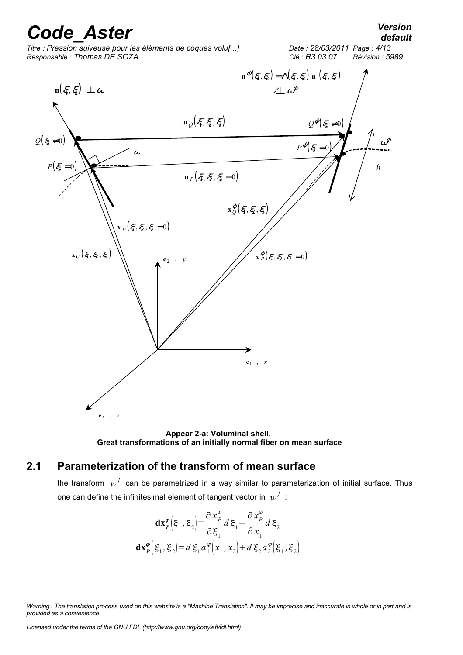### *default*



**Appear 2-a: Voluminal shell. Great transformations of an initially normal fiber on mean surface**

#### **2.1 Parameterization of the transform of mean surface**

<span id="page-3-0"></span>the transform  $w^j$  can be parametrized in a way similar to parameterization of initial surface. Thus one can define the infinitesimal element of tangent vector in  $|w^j|$  :

$$
\mathbf{dx}_{P}^{\varphi} \Big(\xi_{1}, \xi_{2}\Big) = \frac{\partial x_{P}^{\varphi}}{\partial \xi_{1}} d \xi_{1} + \frac{\partial x_{P}^{\varphi}}{\partial x_{1}} d \xi_{2}
$$
\n
$$
\mathbf{dx}_{P}^{\varphi} \Big(\xi_{1}, \xi_{2}\Big) = d \xi_{1} a_{1}^{\varphi} \Big(x_{1}, x_{2}\Big) + d \xi_{2} a_{2}^{\varphi} \Big(\xi_{1}, \xi_{2}\Big)
$$

*Warning : The translation process used on this website is a "Machine Translation". It may be imprecise and inaccurate in whole or in part and is provided as a convenience.*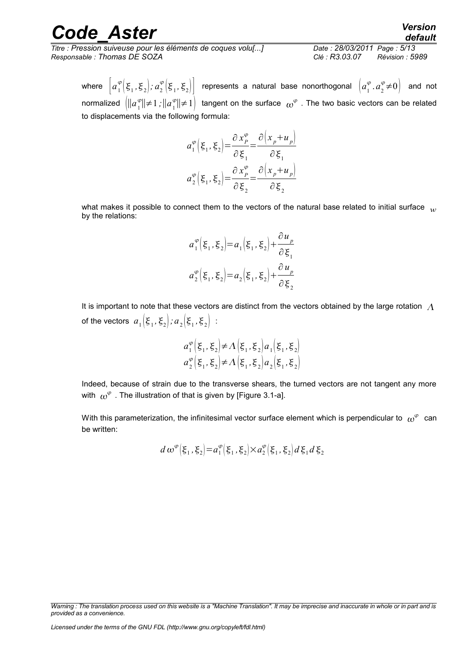*Titre : Pression suiveuse pour les éléments de coques volu[...] Date : 28/03/2011 Page : 5/13 Responsable : Thomas DE SOZA Clé : R3.03.07 Révision : 5989*

## *default*

where  $\left[a_1^\varphi\Big(\xi_1,\xi_2\Big);a_2^\varphi\Big(\xi_1,\xi_2\Big)\right]$  represents a natural base nonorthogonal  $\left[a_1^\varphi,a_2^\varphi{\neq}0\right]$  and not normalized  $\,\,\bigl|\bigl|\bigl| a_1^q\,\bigr|$  $|^{\varphi}$ | $\neq$ 1;|| $a_1^{\varphi}$  $\left\lfloor \frac{\varphi}{1} \right\rfloor \neq 1$  tangent on the surface  $\left\lfloor \omega^{\varphi} \right\rfloor$  . The two basic vectors can be related to displacements via the following formula:

$$
a_1^{\varphi} \left( \xi_1, \xi_2 \right) = \frac{\partial x_p^{\varphi}}{\partial \xi_1} = \frac{\partial \left( x_p + u_p \right)}{\partial \xi_1}
$$

$$
a_2^{\varphi} \left( \xi_1, \xi_2 \right) = \frac{\partial x_p^{\varphi}}{\partial \xi_2} = \frac{\partial \left( x_p + u_p \right)}{\partial \xi_2}
$$

what makes it possible to connect them to the vectors of the natural base related to initial surface w by the relations:

$$
a_1^{\varphi} \Big( \xi_1, \xi_2 \Big) = a_1 \Big( \xi_1, \xi_2 \Big) + \frac{\partial u_p}{\partial \xi_1}
$$
  

$$
a_2^{\varphi} \Big( \xi_1, \xi_2 \Big) = a_2 \Big( \xi_1, \xi_2 \Big) + \frac{\partial u_p}{\partial \xi_2}
$$

It is important to note that these vectors are distinct from the vectors obtained by the large rotation  $\Lambda$ of the vectors  $a_1 \Big| \mathbf{\xi}_1, \mathbf{\xi}_2 \Big|$  ;  $a_2 \Big| \mathbf{\xi}_1, \mathbf{\xi}_2 \Big|$  :

$$
a_1^{\varphi} \left( \xi_1, \xi_2 \right) \neq \Lambda \left( \xi_1, \xi_2 \right) a_1 \left( \xi_1, \xi_2 \right)
$$
  

$$
a_2^{\varphi} \left( \xi_1, \xi_2 \right) \neq \Lambda \left( \xi_1, \xi_2 \right) a_2 \left( \xi_1, \xi_2 \right)
$$

Indeed, because of strain due to the transverse shears, the turned vectors are not tangent any more with  $\, \omega^\varphi \,$  . The illustration of that is given by [Figure 3.1-a].

With this parameterization, the infinitesimal vector surface element which is perpendicular to  $\,\omega^\varphi\,$  can be written:

$$
d\,\omega^{\varphi}\big(\xi_1,\xi_2\big)=a_1^{\varphi}\big(\xi_1,\xi_2\big)\times a_2^{\varphi}\big(\xi_1,\xi_2\big)d\,\xi_1\,d\,\xi_2
$$

*Warning : The translation process used on this website is a "Machine Translation". It may be imprecise and inaccurate in whole or in part and is provided as a convenience.*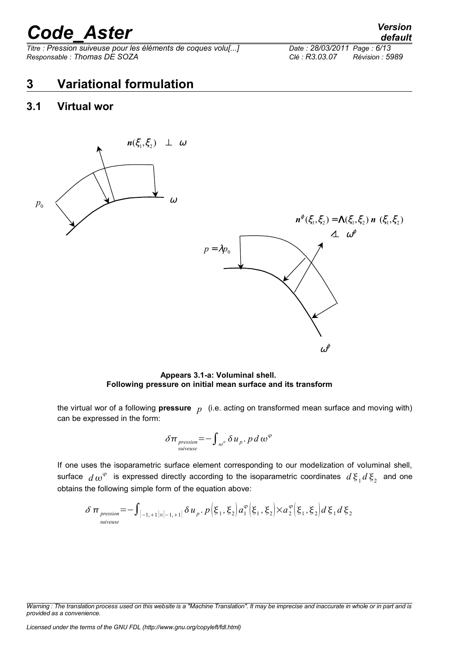*Titre : Pression suiveuse pour les éléments de coques volu[...] Date : 28/03/2011 Page : 6/13 Responsable : Thomas DE SOZA Clé : R3.03.07 Révision : 5989*

#### <span id="page-5-1"></span>**3 Variational formulation**

#### <span id="page-5-0"></span>**3.1 Virtual wor**



**Appears 3.1-a: Voluminal shell. Following pressure on initial mean surface and its transform**

the virtual wor of a following **pressure** *p* (i.e. acting on transformed mean surface and moving with) can be expressed in the form:

$$
\delta \pi_{\substack{pression \overline{}}=-\int_{\omega^{\varphi}} \delta u_{p} \cdot p \, d \, \omega^{\varphi}}
$$

If one uses the isoparametric surface element corresponding to our modelization of voluminal shell, surface  $d\omega^{\varphi}$  is expressed directly according to the isoparametric coordinates  $d\xi_1 d\xi_2$  and one obtains the following simple form of the equation above:

$$
\delta \pi_{\text{pression}} = -\int_{[-1, +1] \times [-1, +1]} \delta u_p \cdot p(\xi_1, \xi_2) a_1^{\varphi}(\xi_1, \xi_2) \times a_2^{\varphi}(\xi_1, \xi_2) d\xi_1 d\xi_2
$$

*Licensed under the terms of the GNU FDL (http://www.gnu.org/copyleft/fdl.html)*

*default*

*Warning : The translation process used on this website is a "Machine Translation". It may be imprecise and inaccurate in whole or in part and is provided as a convenience.*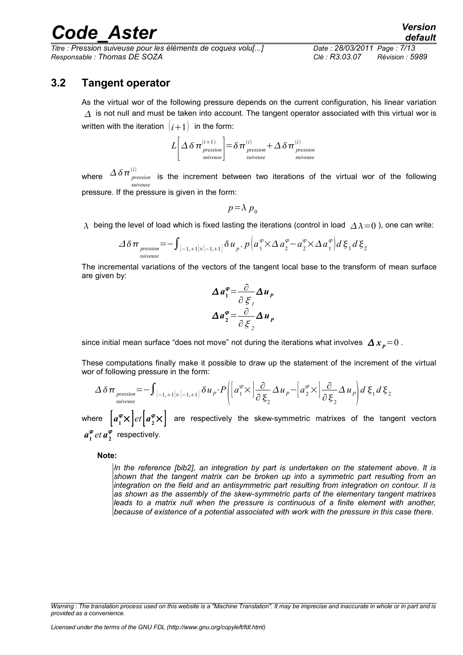*Titre : Pression suiveuse pour les éléments de coques volu[...] Date : 28/03/2011 Page : 7/13 Responsable : Thomas DE SOZA Clé : R3.03.07 Révision : 5989*

#### **3.2 Tangent operator**

<span id="page-6-0"></span>As the virtual wor of the following pressure depends on the current configuration, his linear variation  $\Delta$  is not null and must be taken into account. The tangent operator associated with this virtual wor is written with the iteration  $(i+1)$  in the form:

$$
L\left[\Delta\delta\pi_{\text{pression}}^{(i+1)}\right] = \delta\pi_{\text{pression}}^{(i)} + \Delta\delta\pi_{\text{pression}}^{(i)}
$$

where  $\Delta\,\delta\,\pi_{\,\,\, \hbox{\tiny \it pression}}^{(i)}$ *suiveuse*  $\frac{1}{\text{pression}}$  is the increment between two iterations of the virtual wor of the following pressure. If the pressure is given in the form:

$$
p\!=\!\lambda\,p_{\scriptscriptstyle 0}
$$

 $\lambda$  being the level of load which is fixed lasting the iterations (control in load  $\Delta \lambda = 0$ ), one can write:

$$
\Delta \delta \pi_{\text{pression}} = -\int_{[-1, +1] \times [-1, +1]} \delta u_{p} \cdot p \Big( a_{1}^{\varphi} \times \Delta a_{2}^{\varphi} - a_{2}^{\varphi} \times \Delta a_{1}^{\varphi} \Big) d \xi_{1} d \xi_{2}
$$

The incremental variations of the vectors of the tangent local base to the transform of mean surface are given by:

$$
\Delta a_1^{\varphi} = \frac{\partial}{\partial \xi_1} \Delta u_p
$$

$$
\Delta a_2^{\varphi} = \frac{\partial}{\partial \xi_2} \Delta u_p
$$

since initial mean surface "does not move" not during the iterations what involves  $\Delta x_{p}=0$ .

These computations finally make it possible to draw up the statement of the increment of the virtual wor of following pressure in the form:

$$
\Delta \delta \pi_{\text{pression}} = -\int_{[-1, +1] \times [-1, +1]} \delta u_{P} \cdot P\left( \left[ a_{1}^{\varphi} \times \left| \frac{\partial}{\partial \xi_{2}} \Delta u_{P} - \left[ a_{2}^{\varphi} \times \right] \frac{\partial}{\partial \xi_{2}} \Delta u_{P} \right] d \xi_{1} d \xi_{2} \right)
$$

where  $\left[a_1^{\bm{\varphi}}\times\right]et\left[a_2^{\bm{\varphi}}\times\right]$  are respectively the skew-symmetric matrixes of the tangent vectors  $a_1^{\varphi}$  *et*  $a_2^{\varphi}$  respectively.

**Note:**

*In the reference [bib2], an integration by part is undertaken on the statement above. It is shown that the tangent matrix can be broken up into a symmetric part resulting from an integration on the field and an antisymmetric part resulting from integration on contour. II is as shown as the assembly of the skew-symmetric parts of the elementary tangent matrixes leads to a matrix null when the pressure is continuous of a finite element with another, because of existence of a potential associated with work with the pressure in this case there.*

*Warning : The translation process used on this website is a "Machine Translation". It may be imprecise and inaccurate in whole or in part and is provided as a convenience.*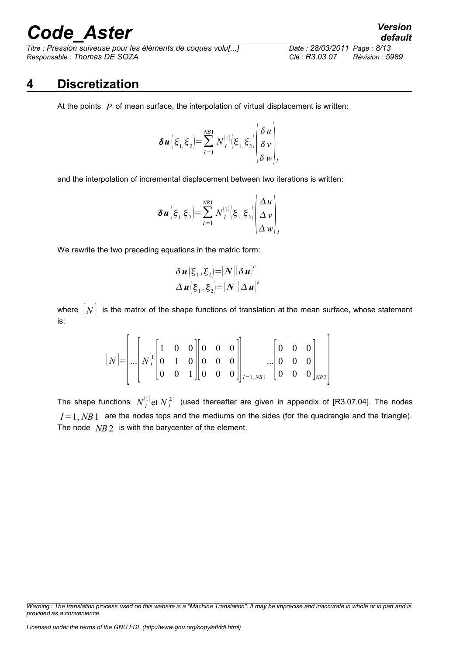*Titre : Pression suiveuse pour les éléments de coques volu[...] Date : 28/03/2011 Page : 8/13 Responsable : Thomas DE SOZA Clé : R3.03.07 Révision : 5989*

# *default*

#### **4 Discretization**

<span id="page-7-0"></span>At the points  $P$  of mean surface, the interpolation of virtual displacement is written:

$$
\delta u \left(\xi_1 \xi_2\right) = \sum_{I=1}^{N B 1} N_I^{(1)} \left(\xi_1 \xi_2\right) \begin{pmatrix} \delta u \\ \delta v \\ \delta w \end{pmatrix}
$$

 $\overline{1}$ 

and the interpolation of incremental displacement between two iterations is written:

$$
\delta u\left(\xi_1,\xi_2\right) = \sum_{I=1}^{NB1} N_I^{(1)}\left(\xi_1,\xi_2\right) \begin{pmatrix} \Delta u \\ \Delta v \\ \Delta w \end{pmatrix}
$$

We rewrite the two preceding equations in the matric form:

$$
\delta \boldsymbol{u} \big| \xi_1, \xi_2 \big| = [N] \big| \delta \boldsymbol{u} \big|^e
$$
  

$$
\Delta \boldsymbol{u} \big| \xi_1, \xi_2 \big| = [N] \big| \Delta \boldsymbol{u} \big|^e
$$

where  $[N]$  is the matrix of the shape functions of translation at the mean surface, whose statement is:

[ *N* ]= [ ...[ *N I* 1 [ 1 0 0 0 1 0 <sup>0</sup> <sup>0</sup> <sup>1</sup> ][ 0 0 0 0 0 0 <sup>0</sup> <sup>0</sup> <sup>0</sup> ]] *<sup>I</sup>*=1, *NB*<sup>1</sup> ...[ 0 0 0 0 0 0 <sup>0</sup> <sup>0</sup> <sup>0</sup> ]*NB* <sup>2</sup> ]

The shape functions  $N_I^{(1)}$ et  $N_I^{(2)}$  (used thereafter are given in appendix of [R3.07.04]. The nodes  $I=1$ ,  $NB1$  are the nodes tops and the mediums on the sides (for the quadrangle and the triangle). The node *NB* 2 is with the barycenter of the element.

*Warning : The translation process used on this website is a "Machine Translation". It may be imprecise and inaccurate in whole or in part and is provided as a convenience.*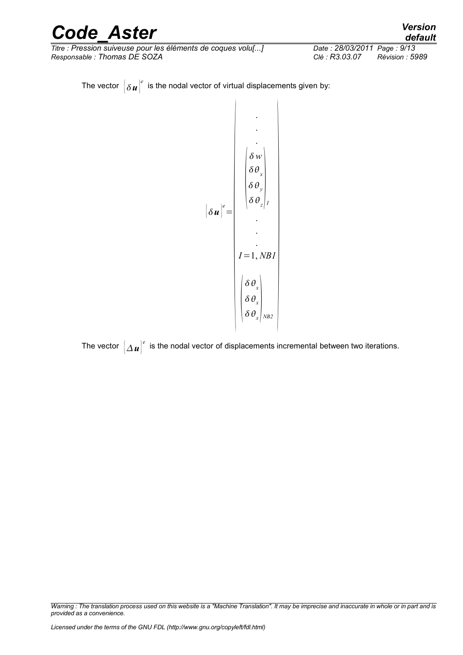*Titre : Pression suiveuse pour les éléments de coques volu[...] Date : 28/03/2011 Page : 9/13 Responsable : Thomas DE SOZA Clé : R3.03.07 Révision : 5989*

The vector  $\left\vert \delta\textit{\textbf{u}}\right\vert ^{e}$  is the nodal vector of virtual displacements given by:

$$
\begin{bmatrix}\n\delta w \\
\delta u \end{bmatrix}^e = \begin{bmatrix}\n\delta w \\
\delta \theta_x \\
\delta \theta_y \\
\delta \theta_z\n\end{bmatrix}I = 1, NBI\n\begin{bmatrix}\n\delta \theta_x \\
\delta \theta_x \\
\delta \theta_x \\
\delta \theta_x \\
\delta \theta_x \\
\delta \theta_x\n\end{bmatrix} NB2
$$

The vector  $\big[\Delta\bm u\big]^e$  is the nodal vector of displacements incremental between two iterations.

*Warning : The translation process used on this website is a "Machine Translation". It may be imprecise and inaccurate in whole or in part and is provided as a convenience.*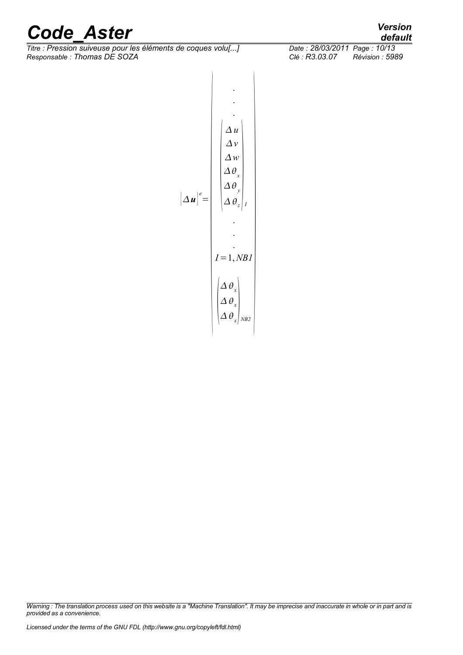*Titre : Pression suiveuse pour les éléments de coques volu[...] Date : 28/03/2011 Page : 10/13 Responsable : Thomas DE SOZA Clé : R3.03.07 Révision : 5989*

$$
\left[\Delta u\right]^e = \begin{pmatrix}\n\Delta u \\
\Delta v \\
\Delta v \\
\Delta \theta_x \\
\Delta \theta_y \\
\Delta \theta_z\n\end{pmatrix}
$$
\n
$$
I = 1, NBI
$$
\n
$$
\begin{pmatrix}\n\Delta u \\
\Delta \theta_x \\
\Delta \theta_z \\
\vdots \\
I = 1, NBI \\
\Delta \theta_x \\
\Delta \theta_x \\
\Delta \theta_x \\
\Delta \theta_x\n\end{pmatrix}_{NB2}
$$

*Warning : The translation process used on this website is a "Machine Translation". It may be imprecise and inaccurate in whole or in part and is provided as a convenience.*

*default*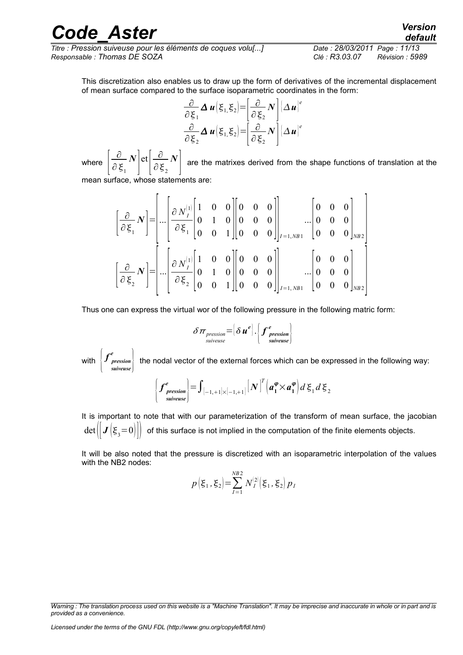*Titre : Pression suiveuse pour les éléments de coques volu[...] Date : 28/03/2011 Page : 11/13 Responsable : Thomas DE SOZA Clé : R3.03.07 Révision : 5989*

This discretization also enables us to draw up the form of derivatives of the incremental displacement of mean surface compared to the surface isoparametric coordinates in the form:

$$
\frac{\partial}{\partial \xi_1} \Delta \boldsymbol{u} (\xi_{1,} \xi_2) = \left[ \frac{\partial}{\partial \xi_2} N \right] \left[ \Delta \boldsymbol{u} \right]^e
$$
  

$$
\frac{\partial}{\partial \xi_2} \Delta \boldsymbol{u} (\xi_{1,} \xi_2) = \left[ \frac{\partial}{\partial \xi_2} N \right] \left[ \Delta \boldsymbol{u} \right]^e
$$

where  $\left\lceil \frac{1}{\hat{\epsilon}} \right\rceil$ ∂  $\partial \xi_1$ *N*  $\left| \det \left| \frac{\partial}{\partial \xi} \right| \right|$  $\partial \xi^{}_{2}$ *N* ] are the matrixes derived from the shape functions of translation at the

mean surface, whose statements are:

$$
\begin{bmatrix} \frac{\partial}{\partial \xi_1} N \end{bmatrix} = \begin{bmatrix} \frac{\partial}{\partial N_I^{(1)}} & 1 & 0 & 0 & 0 \\ 0 & 1 & 0 & 0 & 0 \\ 0 & 0 & 1 & 0 & 0 \\ 0 & 0 & 0 & 0 & 0 \end{bmatrix}_{I=1,NB1} \cdot \begin{bmatrix} 0 & 0 & 0 \\ 0 & 0 & 0 & 0 \\ 0 & 0 & 0 & 0 \\ 0 & 0 & 0 & 0 \end{bmatrix}_{NB2} \cdot \begin{bmatrix} \frac{\partial}{\partial \xi_1} N_I^{(1)} & 1 & 0 & 0 & 0 \\ 0 & \frac{\partial}{\partial \xi_2} N_I^{(1)} & 1 & 0 & 0 \\ 0 & 0 & 1 & 0 & 0 & 0 \\ 0 & 0 & 0 & 1 & 0 & 0 \end{bmatrix}_{I=1,NB1} \cdot \begin{bmatrix} 0 & 0 & 0 & 0 \\ 0 & 0 & 0 & 0 \\ 0 & 0 & 0 & 0 \end{bmatrix}_{NB2} \cdot \begin{bmatrix} \frac{\partial}{\partial \xi_2} N_I^{(1)} & 1 & 0 & 0 \\ 0 & 0 & 0 & 0 & 0 \\ 0 & 0 & 0 & 0 & 0 \end{bmatrix}_{NB2} \cdot \begin{bmatrix} \frac{\partial}{\partial \xi_1} N_I^{(1)} & 1 & 0 & 0 \\ 0 & 0 & 0 & 0 & 0 \\ 0 & 0 & 0 & 0 & 0 \end{bmatrix}_{NB2} \cdot \begin{bmatrix} \frac{\partial}{\partial \xi_2} N_I^{(1)} & 1 & 0 & 0 \\ 0 & 0 & 0 & 0 & 0 \\ 0 & 0 & 0 & 0 & 0 \end{bmatrix}_{NB2} \cdot \begin{bmatrix} \frac{\partial}{\partial \xi_1} N_I^{(1)} & 1 & 0 & 0 \\ 0 & 0 & 0 & 0 & 0 \\ 0 & 0 & 0 & 0 & 0 \end{bmatrix}_{NB2} \cdot \begin{bmatrix} \frac{\partial}{\partial \xi_1} N_I^{(1)} & 1 & 0 & 0 \\ 0 & 0 & 0 & 0 & 0 \\ 0 & 0 & 0 & 0 & 0 \end{bmatrix}_{NB2} \cdot \begin{bmatrix} \frac{\partial}{\partial \xi_2} N_I^{(1)} & 1 & 0 & 0 \\
$$

Thus one can express the virtual wor of the following pressure in the following matric form:

$$
\delta \pi_{\text{pression}} = \left[\delta \boldsymbol{u}^e\right] \cdot \left\{ \boldsymbol{f}^e_{\text{pression}} \right\}
$$

with  $\left\{\mathcal{f}^e_{\substack{pression\ \text{survens}\ \text{survens}\ \text{survens}\ \text{survens}\ \text{survens}\ \text{survens}\ \text{survens}\ \text{survens}\ \text{survensens}\ \right\}$ *suiveuse e*  $\frac{1}{2}$  the nodal vector of the external forces which can be expressed in the following way:

$$
\left\{\boldsymbol{f}^{\boldsymbol{e}}_{\substack{\text{gression}\\ \text{survense}}}\right\} = \int_{[-1, +1] \times [-1, +1]} [\boldsymbol{N}]^{T} (\boldsymbol{a}^{\boldsymbol{\varphi}}_{1} \times \boldsymbol{a}^{\boldsymbol{\varphi}}_{1}) d \boldsymbol{\xi}_{1} d \boldsymbol{\xi}_{2}
$$

It is important to note that with our parameterization of the transform of mean surface, the jacobian  $\det(\left\Vert \bm{J}\left(\bm{\xi}_3\!=\!0\right)\right\Vert\right)$  of this surface is not implied in the computation of the finite elements objects.

It will be also noted that the pressure is discretized with an isoparametric interpolation of the values with the NB2 nodes:

$$
p(\xi_1, \xi_2) = \sum_{I=1}^{NB2} N_I^{(2)}(\xi_1, \xi_2) p_I
$$

*Warning : The translation process used on this website is a "Machine Translation". It may be imprecise and inaccurate in whole or in part and is provided as a convenience.*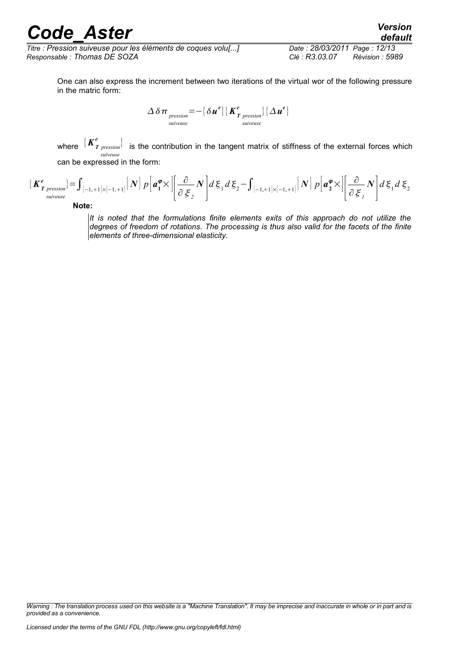*Titre : Pression suiveuse pour les éléments de coques volu[...] Date : 28/03/2011 Page : 12/13 Responsable : Thomas DE SOZA Clé : R3.03.07 Révision : 5989*

*default*

One can also express the increment between two iterations of the virtual wor of the following pressure in the matric form:

$$
\Delta \delta \pi_{\substack{pression \text{ }}=-\text{ }}\{\delta u^{e}\}\text{ }[\mathbf{K}_{T\text{ }pression}^{e}\}\text{ }[\Delta u^{e}\text{]}
$$

where  $\frac{\int \mathbf{K}^e_{I}}$ *pression* } *suiveuse* is the contribution in the tangent matrix of stiffness of the external forces which can be expressed in the form:

$$
\begin{aligned}\n\{\boldsymbol{K}^e_{\boldsymbol{T}_{\text{pression}}}\} &= \int_{[-1, +1] \times [-1, +1]} \left[ N \right] p \left[ \boldsymbol{a}_1^{\boldsymbol{\varphi}} \times \left\| \frac{\partial}{\partial \boldsymbol{\xi}_2} N \right] \right] d \boldsymbol{\xi}_1 d \boldsymbol{\xi}_2 - \int_{[-1, +1] \times [-1, +1]} \left[ N \right] p \left[ \boldsymbol{a}_2^{\boldsymbol{\varphi}} \times \left\| \frac{\partial}{\partial \boldsymbol{\xi}_1} N \right] \right] d \boldsymbol{\xi}_1 d \boldsymbol{\xi}_2\n\end{aligned}
$$

**Note:**

*It is noted that the formulations finite elements exits of this approach do not utilize the degrees of freedom of rotations. The processing is thus also valid for the facets of the finite elements of three-dimensional elasticity.*

*Warning : The translation process used on this website is a "Machine Translation". It may be imprecise and inaccurate in whole or in part and is provided as a convenience.*